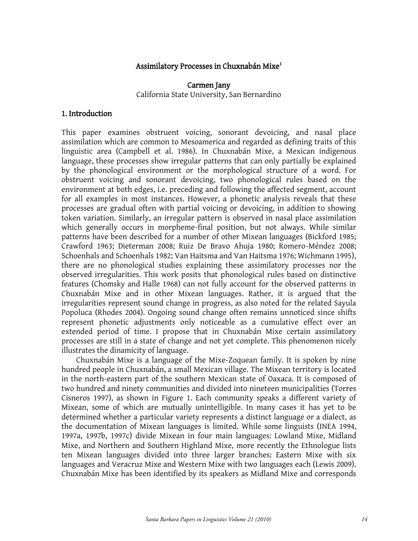### Assimilatory Processes in Chuxnabán Mixe<sup>1</sup>

## Carmen Jany California State University, San Bernardino

### 1. Introduction

This paper examines obstruent voicing, sonorant devoicing, and nasal place assimilation which are common to Mesoamerica and regarded as defining traits of this linguistic area (Campbell et al. 1986). In Chuxnabán Mixe, a Mexican indigenous language, these processes show irregular patterns that can only partially be explained by the phonological environment or the morphological structure of a word. For obstruent voicing and sonorant devoicing, two phonological rules based on the environment at both edges, i.e. preceding and following the affected segment, account for all examples in most instances. However, a phonetic analysis reveals that these processes are gradual often with partial voicing or devoicing, in addition to showing token variation. Similarly, an irregular pattern is observed in nasal place assimilation which generally occurs in morpheme-final position, but not always. While similar patterns have been described for a number of other Mixean languages (Bickford 1985; Crawford 1963; Dieterman 2008; Ruiz De Bravo Ahuja 1980; Romero-Méndez 2008; Schoenhals and Schoenhals 1982; Van Haitsma and Van Haitsma 1976; Wichmann 1995), there are no phonological studies explaining these assimilatory processes nor the observed irregularities. This work posits that phonological rules based on distinctive features (Chomsky and Halle 1968) can not fully account for the observed patterns in Chuxnabán Mixe and in other Mixean languages. Rather, it is argued that the irregularities represent sound change in progress, as also noted for the related Sayula Popoluca (Rhodes 2004). Ongoing sound change often remains unnoticed since shifts represent phonetic adjustments only noticeable as a cumulative effect over an extended period of time. I propose that in Chuxnabán Mixe certain assimilatory processes are still in a state of change and not yet complete. This phenomenon nicely illustrates the dinamicity of language.

Chuxnabán Mixe is a language of the Mixe-Zoquean family. It is spoken by nine hundred people in Chuxnabán, a small Mexican village. The Mixean territory is located in the north-eastern part of the southern Mexican state of Oaxaca. It is composed of two hundred and ninety communities and divided into nineteen municipalities (Torres Cisneros 1997), as shown in Figure 1. Each community speaks a different variety of Mixean, some of which are mutually unintelligible. In many cases it has yet to be determined whether a particular variety represents a distinct language or a dialect, as the documentation of Mixean languages is limited. While some linguists (INEA 1994, 1997a, 1997b, 1997c) divide Mixean in four main languages: Lowland Mixe, Midland Mixe, and Northern and Southern Highland Mixe, more recently the Ethnologue lists ten Mixean languages divided into three larger branches: Eastern Mixe with six languages and Veracruz Mixe and Western Mixe with two languages each (Lewis 2009). Chuxnabán Mixe has been identified by its speakers as Midland Mixe and corresponds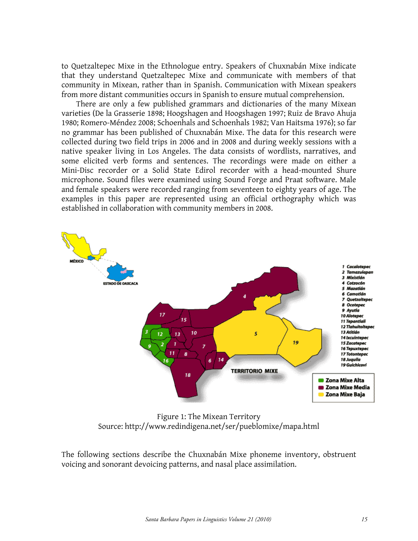to Quetzaltepec Mixe in the Ethnologue entry. Speakers of Chuxnabán Mixe indicate that they understand Quetzaltepec Mixe and communicate with members of that community in Mixean, rather than in Spanish. Communication with Mixean speakers from more distant communities occurs in Spanish to ensure mutual comprehension.

There are only a few published grammars and dictionaries of the many Mixean varieties (De la Grasserie 1898; Hoogshagen and Hoogshagen 1997; Ruiz de Bravo Ahuja 1980; Romero-Méndez 2008; Schoenhals and Schoenhals 1982; Van Haitsma 1976); so far no grammar has been published of Chuxnabán Mixe. The data for this research were collected during two field trips in 2006 and in 2008 and during weekly sessions with a native speaker living in Los Angeles. The data consists of wordlists, narratives, and some elicited verb forms and sentences. The recordings were made on either a Mini-Disc recorder or a Solid State Edirol recorder with a head-mounted Shure microphone. Sound files were examined using Sound Forge and Praat software. Male and female speakers were recorded ranging from seventeen to eighty years of age. The examples in this paper are represented using an official orthography which was established in collaboration with community members in 2008.



Figure 1: The Mixean Territory Source: http://www.redindigena.net/ser/pueblomixe/mapa.html

The following sections describe the Chuxnabán Mixe phoneme inventory, obstruent voicing and sonorant devoicing patterns, and nasal place assimilation.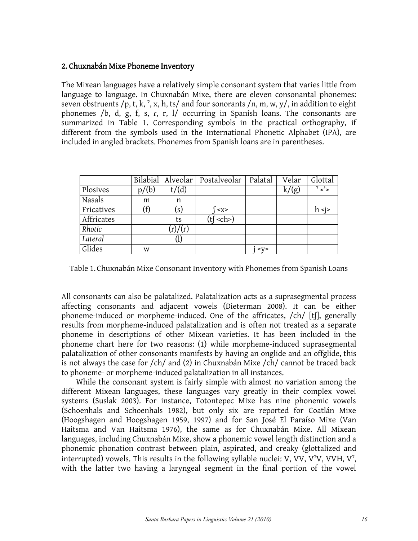### 2. Chuxnabán Mixe Phoneme Inventory

The Mixean languages have a relatively simple consonant system that varies little from language to language. In Chuxnabán Mixe, there are eleven consonantal phonemes: seven obstruents /p, t, k,  $\frac{2}{3}$ , x, h, ts/ and four sonorants /n, m, w, y/, in addition to eight phonemes /b, d, g, f, s, ɾ, r, l/ occurring in Spanish loans. The consonants are summarized in Table 1. Corresponding symbols in the practical orthography, if different from the symbols used in the International Phonetic Alphabet (IPA), are included in angled brackets. Phonemes from Spanish loans are in parentheses.

|            |       | Bilabial   Alveolar         | Postalveolar            | Palatal   | Velar | Glottal       |
|------------|-------|-----------------------------|-------------------------|-----------|-------|---------------|
| Plosives   | p/(b) | t/(d)                       |                         |           | k/(g) | $\frac{2}{5}$ |
| Nasals     | m     | n                           |                         |           |       |               |
| Fricatives |       | $\left( \text{s}\right)$    | < x >                   |           |       | h <i></i>     |
| Affricates |       | ts                          | $(t$ $\zeta$ <ch>)</ch> |           |       |               |
| Rhotic     |       | $\frac{1}{r}$ $\frac{1}{r}$ |                         |           |       |               |
| Lateral    |       |                             |                         |           |       |               |
| Glides     | W     |                             |                         | $<$ V $>$ |       |               |

Table 1. Chuxnabán Mixe Consonant Inventory with Phonemes from Spanish Loans

All consonants can also be palatalized. Palatalization acts as a suprasegmental process affecting consonants and adjacent vowels (Dieterman 2008). It can be either phoneme-induced or morpheme-induced. One of the affricates, /ch/ [tʃ], generally results from morpheme-induced palatalization and is often not treated as a separate phoneme in descriptions of other Mixean varieties. It has been included in the phoneme chart here for two reasons: (1) while morpheme-induced suprasegmental palatalization of other consonants manifests by having an onglide and an offglide, this is not always the case for /ch/ and (2) in Chuxnabán Mixe /ch/ cannot be traced back to phoneme- or morpheme-induced palatalization in all instances.

While the consonant system is fairly simple with almost no variation among the different Mixean languages, these languages vary greatly in their complex vowel systems (Suslak 2003). For instance, Totontepec Mixe has nine phonemic vowels (Schoenhals and Schoenhals 1982), but only six are reported for Coatlán Mixe (Hoogshagen and Hoogshagen 1959, 1997) and for San José El Paraíso Mixe (Van Haitsma and Van Haitsma 1976), the same as for Chuxnabán Mixe. All Mixean languages, including Chuxnabán Mixe, show a phonemic vowel length distinction and a phonemic phonation contrast between plain, aspirated, and creaky (glottalized and interrupted) vowels. This results in the following syllable nuclei: V, VV, V<sup> $\gamma$ </sup>V, VVH, V $\gamma$ , with the latter two having a laryngeal segment in the final portion of the vowel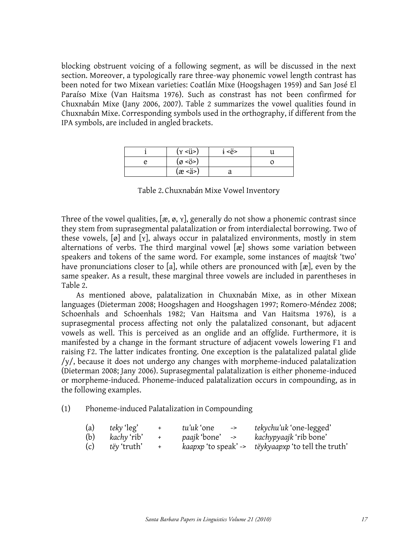blocking obstruent voicing of a following segment, as will be discussed in the next section. Moreover, a typologically rare three-way phonemic vowel length contrast has been noted for two Mixean varieties: Coatlán Mixe (Hoogshagen 1959) and San José El Paraíso Mixe (Van Haitsma 1976). Such as constrast has not been confirmed for Chuxnabán Mixe (Jany 2006, 2007). Table 2 summarizes the vowel qualities found in Chuxnabán Mixe. Corresponding symbols used in the orthography, if different from the IPA symbols, are included in angled brackets.

| $(y \le ii)$           | <ë> |  |
|------------------------|-----|--|
| $(\varnothing \leq 0)$ |     |  |
| (æ <ä>)                | u   |  |

Table 2. Chuxnabán Mixe Vowel Inventory

Three of the vowel qualities,  $[\alpha, \alpha, \gamma]$ , generally do not show a phonemic contrast since they stem from suprasegmental palatalization or from interdialectal borrowing. Two of these vowels, [ø] and [ʏ], always occur in palatalized environments, mostly in stem alternations of verbs. The third marginal vowel [æ] shows some variation between speakers and tokens of the same word. For example, some instances of *maajtsk* 'two' have pronunciations closer to [a], while others are pronounced with [æ], even by the same speaker. As a result, these marginal three vowels are included in parentheses in Table 2.

As mentioned above, palatalization in Chuxnabán Mixe, as in other Mixean languages (Dieterman 2008; Hoogshagen and Hoogshagen 1997; Romero-Méndez 2008; Schoenhals and Schoenhals 1982; Van Haitsma and Van Haitsma 1976), is a suprasegmental process affecting not only the palatalized consonant, but adjacent vowels as well. This is perceived as an onglide and an offglide. Furthermore, it is manifested by a change in the formant structure of adjacent vowels lowering F1 and raising F2. The latter indicates fronting. One exception is the palatalized palatal glide /y/, because it does not undergo any changes with morpheme-induced palatalization (Dieterman 2008; Jany 2006). Suprasegmental palatalization is either phoneme-induced or morpheme-induced. Phoneme-induced palatalization occurs in compounding, as in the following examples.

#### (1) Phoneme-induced Palatalization in Compounding

| (a) | teky 'leg'         | $+$ | tu'uk 'one<br>$\rightarrow$ | <i>tekychu'uk</i> 'one-legged'                      |
|-----|--------------------|-----|-----------------------------|-----------------------------------------------------|
| (b) | kachy 'rib'        | $+$ | paajk 'bone' ->             | kachypyaajk 'rib bone'                              |
| (c) | <i>tëy</i> 'truth' |     |                             | kaapxp 'to speak' -> tëykyaapxp 'to tell the truth' |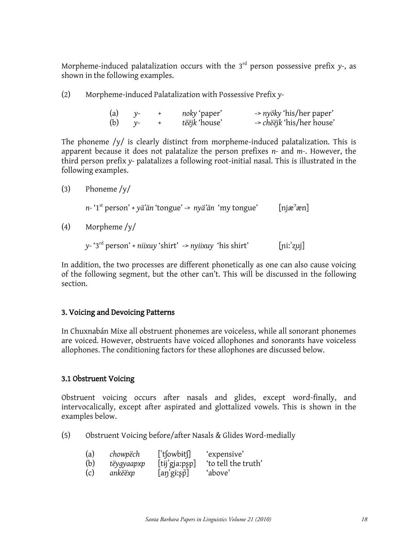Morpheme-induced palatalization occurs with the  $3<sup>rd</sup>$  person possessive prefix  $y$ -, as shown in the following examples.

(2) Morpheme-induced Palatalization with Possessive Prefix *y-*

| (a) | $V^-$ | noky 'paper'         | -> nyöky 'his/her paper'         |
|-----|-------|----------------------|----------------------------------|
| (b) |       | <i>tëëjk</i> 'house' | -> <i>chëëjk</i> 'his/her house' |

The phoneme  $/y/$  is clearly distinct from morpheme-induced palatalization. This is apparent because it does not palatalize the person prefixes *n-* and *m-*. However, the third person prefix *y-* palatalizes a following root-initial nasal. This is illustrated in the following examples.

```
(3) Phoneme /y/
```
*n-* '1st person' + *yä'än* 'tongue' *-> nyä'än* 'my tongue' [njæˀæn]

(4) Morpheme /y/

*y-* '3rd person' + *niixuy* 'shirt' -> *nyiixuy* 'his shirt' [ɲiːˈʐuj]

In addition, the two processes are different phonetically as one can also cause voicing of the following segment, but the other can't. This will be discussed in the following section.

# 3. Voicing and Devoicing Patterns

In Chuxnabán Mixe all obstruent phonemes are voiceless, while all sonorant phonemes are voiced. However, obstruents have voiced allophones and sonorants have voiceless allophones. The conditioning factors for these allophones are discussed below.

## 3.1 Obstruent Voicing

Obstruent voicing occurs after nasals and glides, except word-finally, and intervocalically, except after aspirated and glottalized vowels. This is shown in the examples below.

(5) Obstruent Voicing before/after Nasals & Glides Word-medially

| (a) | chowpëch   | ['tfowbit]            | 'expensive'         |
|-----|------------|-----------------------|---------------------|
| (b) | tëygyaapxp | [tij'gja:pp]          | 'to tell the truth' |
| (c) | ankëëxp    | $[$ aŋ $'$ gɨːʂp̄ $]$ | 'above'             |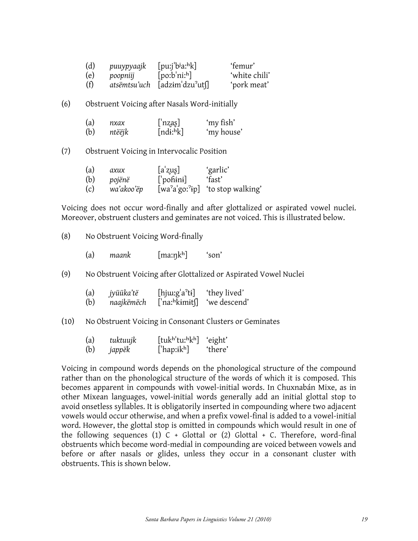| (d) | puuypyaajk | $[{\text{pui}}'$ $\dot{\nu}$ a $\dot{h}$ k] | 'femur'       |
|-----|------------|---------------------------------------------|---------------|
| (e) | poopniij   | [po:b'ni:b]                                 | 'white chili' |
| (f) |            | atsëmtsu'uch [adzim'dzu'uts]                | 'pork meat'   |

(6) Obstruent Voicing after Nasals Word-initially

| (a) | пхах   | $\lfloor$ 'nzas] | 'my fish'  |
|-----|--------|------------------|------------|
| (b) | ntëëjk | [ndi: hk]        | 'my house' |

(7) Obstruent Voicing in Intervocalic Position

| (a) | axux       | $[a'z\mu\epsilon]$ | 'garlic'                            |
|-----|------------|--------------------|-------------------------------------|
| (b) | pojënë     | $\lceil$ pohini]   | 'fast'                              |
| (c) | wa'akoo'ëp |                    | $[wa^2a'go'^2ip]$ 'to stop walking' |

Voicing does not occur word-finally and after glottalized or aspirated vowel nuclei. Moreover, obstruent clusters and geminates are not voiced. This is illustrated below.

(8) No Obstruent Voicing Word-finally

(a) maank [maːnkʰ] 'son'

(9) No Obstruent Voicing after Glottalized or Aspirated Vowel Nuclei

| (a) | jyüüka'të  | $[$ hj $\mu$ : $g$ <sup>'</sup> a <sup>2</sup> ti] | 'they lived' |
|-----|------------|----------------------------------------------------|--------------|
| (b) | naajkëmëch | $\lceil$ 'naː <sup>h</sup> kɨmɨts                  | 'we descend' |

(10) No Obstruent Voicing in Consonant Clusters or Geminates

| (a) | tuktuujk | [tukh'tu:hkh]  | 'eight' |
|-----|----------|----------------|---------|
| (b) | jappëk   | ['hap: $ikh$ ] | 'there' |

Voicing in compound words depends on the phonological structure of the compound rather than on the phonological structure of the words of which it is composed. This becomes apparent in compounds with vowel-initial words. In Chuxnabán Mixe, as in other Mixean languages, vowel-initial words generally add an initial glottal stop to avoid onsetless syllables. It is obligatorily inserted in compounding where two adjacent vowels would occur otherwise, and when a prefix vowel-final is added to a vowel-initial word. However, the glottal stop is omitted in compounds which would result in one of the following sequences (1)  $C +$  Glottal or (2) Glottal + C. Therefore, word-final obstruents which become word-medial in compounding are voiced between vowels and before or after nasals or glides, unless they occur in a consonant cluster with obstruents. This is shown below.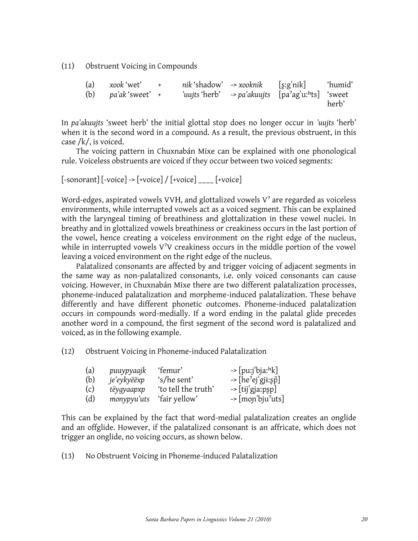(11) Obstruent Voicing in Compounds

|  | (a) $xook' wet' +$<br>(b) $pa'ak'$ sweet' + |  | nik 'shadow' -> xooknik [s:g'nik] 'humid'<br>'uujts 'herb' -> pa'akuujts [pa'ag'uːhts] 'sweet |       |
|--|---------------------------------------------|--|-----------------------------------------------------------------------------------------------|-------|
|  |                                             |  |                                                                                               | herb' |

In *pa'akuujts* 'sweet herb' the initial glottal stop does no longer occur in *'uujts* 'herb' when it is the second word in a compound. As a result, the previous obstruent, in this case /k/, is voiced.

The voicing pattern in Chuxnabán Mixe can be explained with one phonological rule. Voiceless obstruents are voiced if they occur between two voiced segments:

```
[-\text{sonorant}]\left[-\text{voice}\right] - \left[-\text{voice}\right] / \left[-\text{voice}\right]
```
Word-edges, aspirated vowels VVH, and glottalized vowels  $V^2$  are regarded as voiceless environments, while interrupted vowels act as a voiced segment. This can be explained with the laryngeal timing of breathiness and glottalization in these vowel nuclei. In breathy and in glottalized vowels breathiness or creakiness occurs in the last portion of the vowel, hence creating a voiceless environment on the right edge of the nucleus, while in interrupted vowels  $V^2V$  creakiness occurs in the middle portion of the vowel leaving a voiced environment on the right edge of the nucleus.

Palatalized consonants are affected by and trigger voicing of adjacent segments in the same way as non-palatalized consonants, i.e. only voiced consonants can cause voicing. However, in Chuxnabán Mixe there are two different palatalization processes, phoneme-induced palatalization and morpheme-induced palatalization. These behave differently and have different phonetic outcomes. Phoneme-induced palatalization occurs in compounds word-medially. If a word ending in the palatal glide precedes another word in a compound, the first segment of the second word is palatalized and voiced, as in the following example.

(12) Obstruent Voicing in Phoneme-induced Palatalization

| (a) | puuypyaajk  | 'femur'             | $\rightarrow$ [puːjˈbjaː <sup>h</sup> k]  |
|-----|-------------|---------------------|-------------------------------------------|
| (b) | je'eykyëëxp | 's/he sent'         | $\rightarrow$ [he <sup>2</sup> ej'gji:sp] |
| (c) | tëyqyaapxp  | 'to tell the truth' | $\rightarrow$ [tij gja:psp]               |
| (d) | monypyu'uts | 'fair yellow'       | $\rightarrow$ [mon'bju'uts]               |

This can be explained by the fact that word-medial palatalization creates an onglide and an offglide. However, if the palatalized consonant is an affricate, which does not trigger an onglide, no voicing occurs, as shown below.

(13) No Obstruent Voicing in Phoneme-induced Palatalization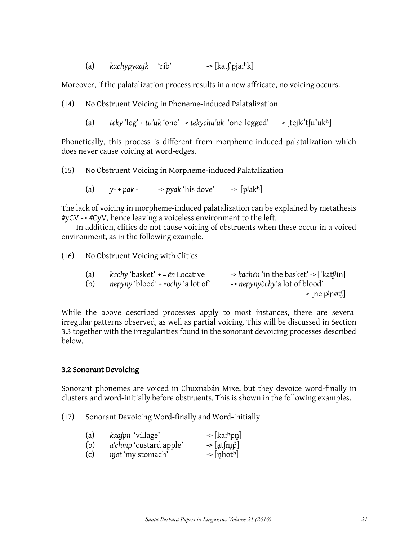(a) *kachypyaajk* 'rib' -> [katʃˈpjaːʰk]

Moreover, if the palatalization process results in a new affricate, no voicing occurs.

(14) No Obstruent Voicing in Phoneme-induced Palatalization

(a) *teky* 'leg' + *tu'uk* 'one' -> *tekychu'uk* 'one-legged' -> [tejkʲˈtʃuˀukʰ]

Phonetically, this process is different from morpheme-induced palatalization which does never cause voicing at word-edges.

(15) No Obstruent Voicing in Morpheme-induced Palatalization

(a)  $v$ -+pak - ->pyak 'his dove' -> [p<sup>j</sup>ak<sup>h</sup>]

The lack of voicing in morpheme-induced palatalization can be explained by metathesis #yCV -> #CyV, hence leaving a voiceless environment to the left.

In addition, clitics do not cause voicing of obstruents when these occur in a voiced environment, as in the following example.

(16) No Obstruent Voicing with Clitics

| (a) | <i>kachy</i> 'basket' $+$ = $\ddot{e}n$ Locative | -> kachën 'in the basket' -> ['kat $\[\mathfrak{lin}\]$ |
|-----|--------------------------------------------------|---------------------------------------------------------|
| (b) | nepyny 'blood' + =ochy 'a lot of'                | -> nepynyöchy'a lot of blood'                           |
|     |                                                  | -> [ne'pjnøts]                                          |

While the above described processes apply to most instances, there are several irregular patterns observed, as well as partial voicing. This will be discussed in Section 3.3 together with the irregularities found in the sonorant devoicing processes described below.

## 3.2 Sonorant Devoicing

Sonorant phonemes are voiced in Chuxnabán Mixe, but they devoice word-finally in clusters and word-initially before obstruents. This is shown in the following examples.

- (17) Sonorant Devoicing Word-finally and Word-initially
	- (a) *kaajpn* 'village' -> [kaː<sup>h</sup>pn]
	- (b)  $a'chmp'custard apple'$  ->  $[at[m\vec{p}]$
	- (c)  $\eta$ *iot* 'my stomach'  $\qquad$  ->  $\lceil \text{nhot}^{\text{h}} \rceil$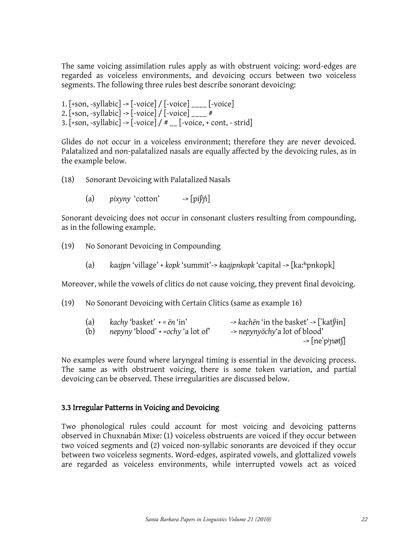The same voicing assimilation rules apply as with obstruent voicing: word-edges are regarded as voiceless environments, and devoicing occurs between two voiceless segments. The following three rules best describe sonorant devoicing:

1.  $[+son, -syllabic]$  ->  $[-voice] / [-voice]$   $[ -voice]$ 2.  $[+son, -syllabic]$  ->  $[-voice] / [-voice]_{---}$ # 3.  $[+son, -syllabic]$   $\rightarrow$   $[-voice]$  /  $\#$   $_{--}$   $[-voice, + cont, -strid]$ 

Glides do not occur in a voiceless environment; therefore they are never devoiced. Palatalized and non-palatalized nasals are equally affected by the devoicing rules, as in the example below.

- (18) Sonorant Devoicing with Palatalized Nasals
	- (a)  $\frac{p}{x}$  *pixyny* 'cotton'  $\frac{-\frac{p}{p}}{p}$

Sonorant devoicing does not occur in consonant clusters resulting from compounding, as in the following example.

- (19) No Sonorant Devoicing in Compounding
	- (a) *kaajpn* 'village' + *kopk* 'summit'-> *kaajpnkopk* 'capital -> [kaːʰpnkopk]

Moreover, while the vowels of clitics do not cause voicing, they prevent final devoicing.

(19) No Sonorant Devoicing with Certain Clitics (same as example 16)

| (a) | kachy 'basket' $+$ = $\ddot{e}n$ 'in' | -> kachën 'in the basket' -> ['kat $\beta$ in] |
|-----|---------------------------------------|------------------------------------------------|
| (b) | nepyny 'blood' + =ochy 'a lot of      | -> nepynyöchy'a lot of blood'                  |
|     |                                       | $\rightarrow$ [ne'p <sup>j</sup> nøts]         |

No examples were found where laryngeal timing is essential in the devoicing process. The same as with obstruent voicing, there is some token variation, and partial devoicing can be observed. These irregularities are discussed below.

# 3.3 Irregular Patterns in Voicing and Devoicing

Two phonological rules could account for most voicing and devoicing patterns observed in Chuxnabán Mixe: (1) voiceless obstruents are voiced if they occur between two voiced segments and (2) voiced non-syllabic sonorants are devoiced if they occur between two voiceless segments. Word-edges, aspirated vowels, and glottalized vowels are regarded as voiceless environments, while interrupted vowels act as voiced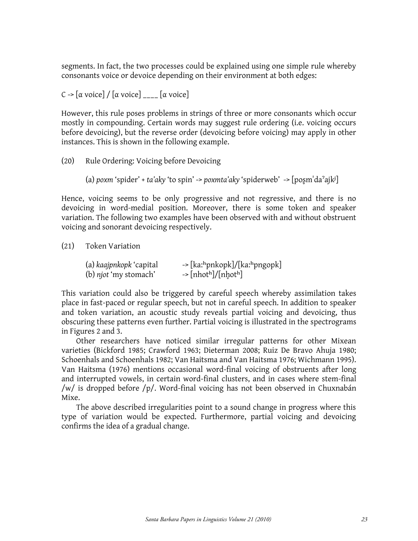segments. In fact, the two processes could be explained using one simple rule whereby consonants voice or devoice depending on their environment at both edges:

 $C \rightarrow [\alpha \text{ voice}]/[\alpha \text{ voice}]_{\text{max}}[\alpha \text{ voice}]$ 

However, this rule poses problems in strings of three or more consonants which occur mostly in compounding. Certain words may suggest rule ordering (i.e. voicing occurs before devoicing), but the reverse order (devoicing before voicing) may apply in other instances. This is shown in the following example.

(20) Rule Ordering: Voicing before Devoicing

```
(a) poxm 'spider' + ta'aky 'to spin' -> poxmta'aky 'spiderweb' -> [poʂmˈdaˀajkʲ]
```
Hence, voicing seems to be only progressive and not regressive, and there is no devoicing in word-medial position. Moreover, there is some token and speaker variation. The following two examples have been observed with and without obstruent voicing and sonorant devoicing respectively.

(21) Token Variation

| (a) kaajpnkopk 'capital      | -> [kaːʰpnkopk]/[kaːʰpngopk]                            |
|------------------------------|---------------------------------------------------------|
| (b) <i>njot</i> 'my stomach' | $\rightarrow$ [nhot <sup>h</sup> ]/[nhot <sup>h</sup> ] |

This variation could also be triggered by careful speech whereby assimilation takes place in fast-paced or regular speech, but not in careful speech. In addition to speaker and token variation, an acoustic study reveals partial voicing and devoicing, thus obscuring these patterns even further. Partial voicing is illustrated in the spectrograms in Figures 2 and 3.

Other researchers have noticed similar irregular patterns for other Mixean varieties (Bickford 1985; Crawford 1963; Dieterman 2008; Ruiz De Bravo Ahuja 1980; Schoenhals and Schoenhals 1982; Van Haitsma and Van Haitsma 1976; Wichmann 1995). Van Haitsma (1976) mentions occasional word-final voicing of obstruents after long and interrupted vowels, in certain word-final clusters, and in cases where stem-final /w/ is dropped before /p/. Word-final voicing has not been observed in Chuxnabán Mixe.

The above described irregularities point to a sound change in progress where this type of variation would be expected. Furthermore, partial voicing and devoicing confirms the idea of a gradual change.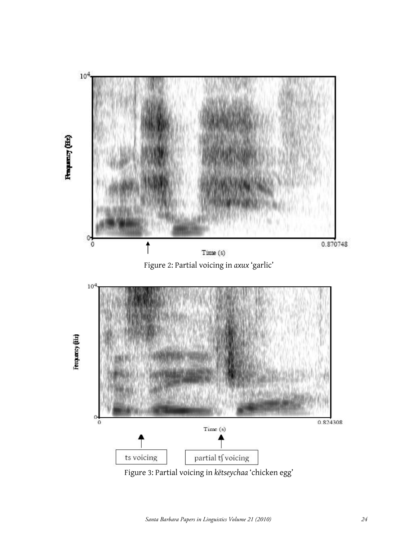

Figure 3: Partial voicing in *këtseychaa* 'chicken egg'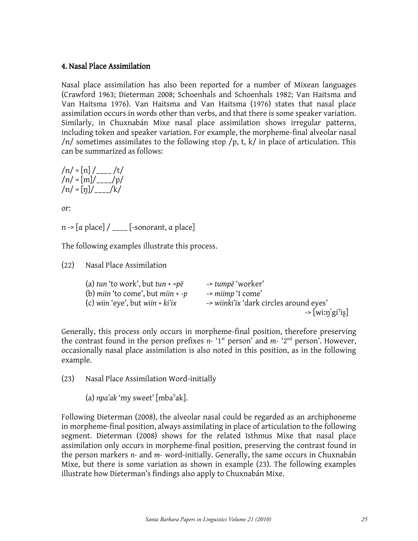#### 4. Nasal Place Assimilation

Nasal place assimilation has also been reported for a number of Mixean languages (Crawford 1963; Dieterman 2008; Schoenhals and Schoenhals 1982; Van Haitsma and Van Haitsma 1976). Van Haitsma and Van Haitsma (1976) states that nasal place assimilation occurs in words other than verbs, and that there is some speaker variation. Similarly, in Chuxnabán Mixe nasal place assimilation shows irregular patterns, including token and speaker variation. For example, the morpheme-final alveolar nasal /n/ sometimes assimilates to the following stop /p, t, k/ in place of articulation. This can be summarized as follows:

$$
/n/ = [n]/_{---}/t/
$$
  
\n $/n/ = [m]/_{---}/p/$   
\n $/n/ = [n]/_{---}/k/$ 

or:

n ->  $[\alpha$  place] / \_\_\_\_ [-sonorant, α place]

The following examples illustrate this process.

(22) Nasal Place Assimilation

| (a) tun 'to work', but tun + = $p\ddot{e}$ | -> tumpë 'worker'                       |
|--------------------------------------------|-----------------------------------------|
| (b) miin 'to come', but miin $+ -p$        | -> miimp 'I come'                       |
| (c) wiin 'eye', but wiin $+ki'ix$          | -> wiinki'ix 'dark circles around eyes' |
|                                            | $\rightarrow$ [wiːŋˈgi <sup>?</sup> iʂ] |

Generally, this process only occurs in morpheme-final position, therefore preserving the contrast found in the person prefixes  $n$ - '1<sup>st</sup> person' and  $m$ - '2<sup>nd</sup> person'. However, occasionally nasal place assimilation is also noted in this position, as in the following example.

(23) Nasal Place Assimilation Word-initially

(a) *npa'ak* 'my sweet' [mbaˀak].

Following Dieterman (2008), the alveolar nasal could be regarded as an archiphoneme in morpheme-final position, always assimilating in place of articulation to the following segment. Dieterman (2008) shows for the related Isthmus Mixe that nasal place assimilation only occurs in morpheme-final position, preserving the contrast found in the person markers *n-* and *m-* word-initially. Generally, the same occurs in Chuxnabán Mixe, but there is some variation as shown in example (23). The following examples illustrate how Dieterman's findings also apply to Chuxnabán Mixe.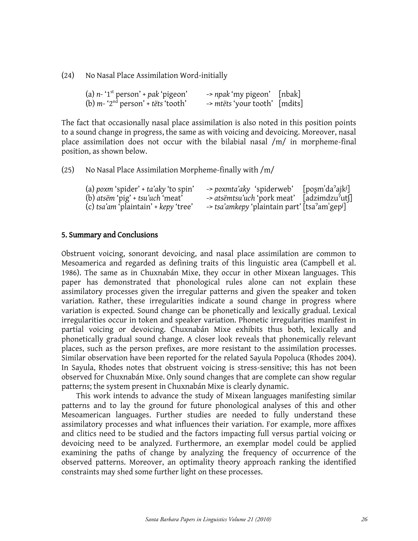(24) No Nasal Place Assimilation Word-initially

| (a) $n - 1$ <sup>st</sup> person' + pak 'pigeon' | -> npak 'my pigeon' [nbak]    |  |
|--------------------------------------------------|-------------------------------|--|
| (b) $m - 2nd$ person' + tëts 'tooth'             | -> mtëts 'your tooth' [mdits] |  |

The fact that occasionally nasal place assimilation is also noted in this position points to a sound change in progress, the same as with voicing and devoicing. Moreover, nasal place assimilation does not occur with the bilabial nasal /m/ in morpheme-final position, as shown below.

(25) No Nasal Place Assimilation Morpheme-finally with  $/m/$ 

| (a) poxm 'spider' + $ta'aky$ 'to spin' | -> poxmta'aky 'spiderweb' [poşm'da'ajk <sup>j</sup> ]     |  |
|----------------------------------------|-----------------------------------------------------------|--|
| (b) atsem 'pig' + tsu'uch 'meat'       | -> atsëmtsu'uch 'pork meat' [adzimdzu'ut]                 |  |
| (c) tsa'am 'plaintain' + $key$ 'tree'  | -> tsa'amkepy 'plaintain part' [tsa'am'gep <sup>j</sup> ] |  |

#### 5. Summary and Conclusions

Obstruent voicing, sonorant devoicing, and nasal place assimilation are common to Mesoamerica and regarded as defining traits of this linguistic area (Campbell et al. 1986). The same as in Chuxnabán Mixe, they occur in other Mixean languages. This paper has demonstrated that phonological rules alone can not explain these assimilatory processes given the irregular patterns and given the speaker and token variation. Rather, these irregularities indicate a sound change in progress where variation is expected. Sound change can be phonetically and lexically gradual. Lexical irregularities occur in token and speaker variation. Phonetic irregularities manifest in partial voicing or devoicing. Chuxnabán Mixe exhibits thus both, lexically and phonetically gradual sound change. A closer look reveals that phonemically relevant places, such as the person prefixes, are more resistant to the assimilation processes. Similar observation have been reported for the related Sayula Popoluca (Rhodes 2004). In Sayula, Rhodes notes that obstruent voicing is stress-sensitive; this has not been observed for Chuxnabán Mixe. Only sound changes that are complete can show regular patterns; the system present in Chuxnabán Mixe is clearly dynamic.

This work intends to advance the study of Mixean languages manifesting similar patterns and to lay the ground for future phonological analyses of this and other Mesoamerican languages. Further studies are needed to fully understand these assimilatory processes and what influences their variation. For example, more affixes and clitics need to be studied and the factors impacting full versus partial voicing or devoicing need to be analyzed. Furthermore, an exemplar model could be applied examining the paths of change by analyzing the frequency of occurrence of the observed patterns. Moreover, an optimality theory approach ranking the identified constraints may shed some further light on these processes.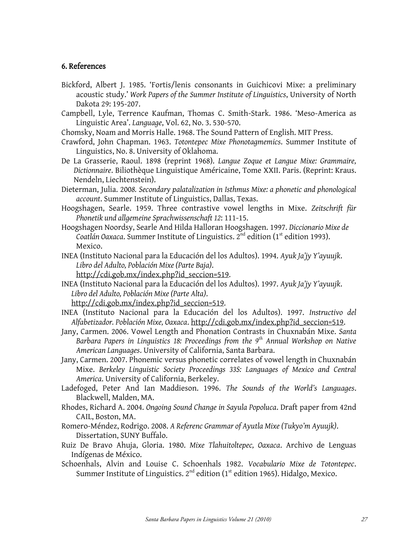### 6. References

- Bickford, Albert J. 1985. 'Fortis/lenis consonants in Guichicovi Mixe: a preliminary acoustic study.' *Work Papers of the Summer Institute of Linguistics*, University of North Dakota 29: 195-207.
- Campbell, Lyle, Terrence Kaufman, Thomas C. Smith-Stark. 1986. 'Meso-America as Linguistic Area'. *Language*, Vol. 62, No. 3. 530-570.
- Chomsky, Noam and Morris Halle. 1968. The Sound Pattern of English. MIT Press.
- Crawford, John Chapman. 1963. *Totontepec Mixe Phonotagmemics*. Summer Institute of Linguistics, No. 8. University of Oklahoma.
- De La Grasserie, Raoul. 1898 (reprint 1968). *Langue Zoque et Langue Mixe: Grammaire, Dictionnaire*. Biliothèque Linguistique Américaine, Tome XXII. Paris. (Reprint: Kraus. Nendeln, Liechtenstein).
- Dieterman, Julia. 200*8. Secondary palatalization in Isthmus Mixe: a phonetic and phonological account*. Summer Institute of Linguistics, Dallas, Texas.
- Hoogshagen, Searle. 1959. Three contrastive vowel lengths in Mixe. *Zeitschrift für Phonetik und allgemeine Sprachwissenschaft 12*: 111-15.
- Hoogshagen Noordsy, Searle And Hilda Halloran Hoogshagen. 1997. *Diccionario Mixe de*  Coatlán Oaxaca. Summer Institute of Linguistics. 2<sup>nd</sup> edition (1<sup>st</sup> edition 1993). Mexico.
- INEA (Instituto Nacional para la Educación del los Adultos). 1994. *Ayuk Ja'jy Y'ayuujk*. *Libro del Adulto, Población Mixe (Parte Baja)*. [http://cdi.gob.mx/index.php?id\\_seccion=519.](http://cdi.gob.mx/index.php?id_seccion=519)
- INEA (Instituto Nacional para la Educación del los Adultos). 1997. *Ayuk Ja'jy Y'ayuujk*. *Libro del Adulto, Población Mixe (Parte Alta)*.

[http://cdi.gob.mx/index.php?id\\_seccion=519.](http://cdi.gob.mx/index.php?id_seccion=519)

- INEA (Instituto Nacional para la Educación del los Adultos). 1997. *Instructivo del Alfabetizador. Población Mixe, Oaxaca*. [http://cdi.gob.mx/index.php?id\\_seccion=519.](http://cdi.gob.mx/index.php?id_seccion=519)
- Jany, Carmen. 2006. Vowel Length and Phonation Contrasts in Chuxnabán Mixe. *Santa Barbara Papers in Linguistics 18: Proceedings from the 9th Annual Workshop on Native American Languages*. University of California, Santa Barbara.
- Jany, Carmen. 2007. Phonemic versus phonetic correlates of vowel length in Chuxnabán Mixe. *Berkeley Linguistic Society Proceedings 33S: Languages of Mexico and Central America*. University of California, Berkeley.
- Ladefoged, Peter And Ian Maddieson. 1996. *The Sounds of the World's Languages*. Blackwell, Malden, MA.
- Rhodes, Richard A. 2004. *Ongoing Sound Change in Sayula Popoluca*. Draft paper from 42nd CAIL, Boston, MA.
- Romero-Méndez, Rodrigo. 2008. *A Referenc Grammar of Ayutla Mixe (Tukyo'm Ayuujk)*. Dissertation, SUNY Buffalo.
- Ruiz De Bravo Ahuja, Gloria. 1980. *Mixe Tlahuitoltepec, Oaxaca*. Archivo de Lenguas Indígenas de México.
- Schoenhals, Alvin and Louise C. Schoenhals 1982. *Vocabulario Mixe de Totontepec*. Summer Institute of Linguistics. 2<sup>nd</sup> edition (1<sup>st</sup> edition 1965). Hidalgo, Mexico.